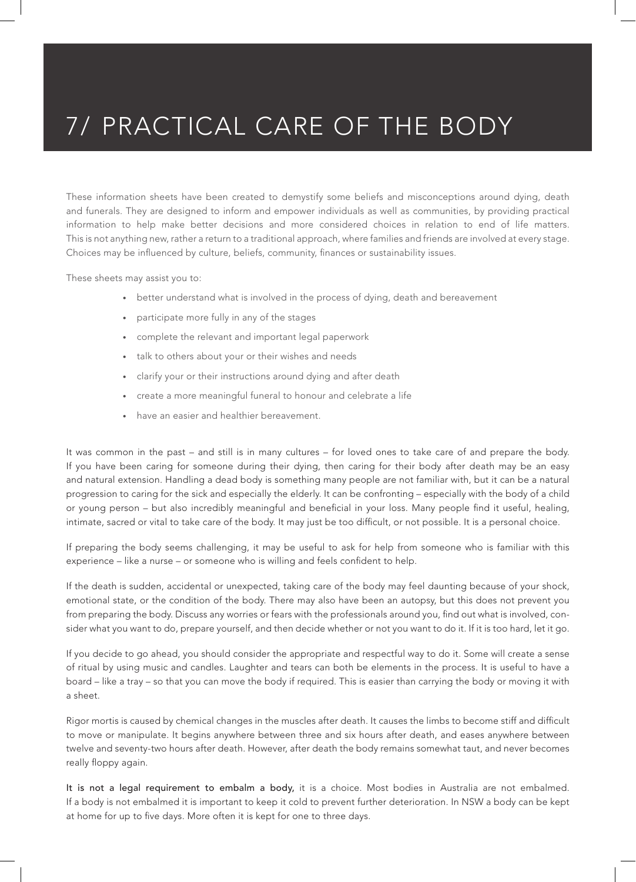These information sheets have been created to demystify some beliefs and misconceptions around dying, death and funerals. They are designed to inform and empower individuals as well as communities, by providing practical information to help make better decisions and more considered choices in relation to end of life matters. This is not anything new, rather a return to a traditional approach, where families and friends are involved at every stage. Choices may be influenced by culture, beliefs, community, finances or sustainability issues.

These sheets may assist you to:

- better understand what is involved in the process of dying, death and bereavement
- participate more fully in any of the stages
- complete the relevant and important legal paperwork
- talk to others about your or their wishes and needs
- clarify your or their instructions around dying and after death
- create a more meaningful funeral to honour and celebrate a life
- have an easier and healthier bereavement.

It was common in the past – and still is in many cultures – for loved ones to take care of and prepare the body. If you have been caring for someone during their dying, then caring for their body after death may be an easy and natural extension. Handling a dead body is something many people are not familiar with, but it can be a natural progression to caring for the sick and especially the elderly. It can be confronting – especially with the body of a child or young person – but also incredibly meaningful and beneficial in your loss. Many people find it useful, healing, intimate, sacred or vital to take care of the body. It may just be too difficult, or not possible. It is a personal choice.

If preparing the body seems challenging, it may be useful to ask for help from someone who is familiar with this experience – like a nurse – or someone who is willing and feels confident to help.

If the death is sudden, accidental or unexpected, taking care of the body may feel daunting because of your shock, emotional state, or the condition of the body. There may also have been an autopsy, but this does not prevent you from preparing the body. Discuss any worries or fears with the professionals around you, find out what is involved, consider what you want to do, prepare yourself, and then decide whether or not you want to do it. If it is too hard, let it go.

If you decide to go ahead, you should consider the appropriate and respectful way to do it. Some will create a sense of ritual by using music and candles. Laughter and tears can both be elements in the process. It is useful to have a board – like a tray – so that you can move the body if required. This is easier than carrying the body or moving it with a sheet.

Rigor mortis is caused by chemical changes in the muscles after death. It causes the limbs to become stiff and difficult to move or manipulate. It begins anywhere between three and six hours after death, and eases anywhere between twelve and seventy-two hours after death. However, after death the body remains somewhat taut, and never becomes really floppy again.

It is not a legal requirement to embalm a body, it is a choice. Most bodies in Australia are not embalmed. If a body is not embalmed it is important to keep it cold to prevent further deterioration. In NSW a body can be kept at home for up to five days. More often it is kept for one to three days.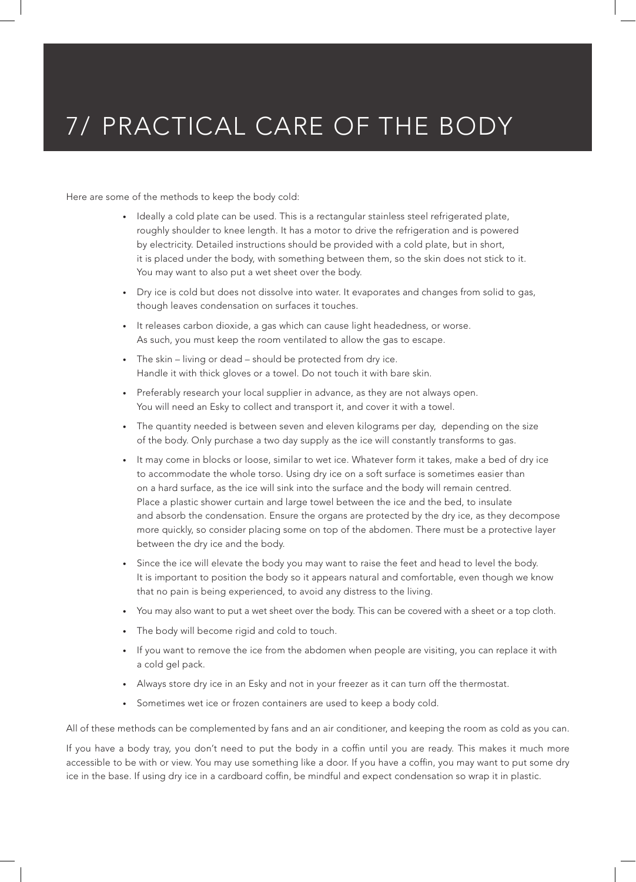Here are some of the methods to keep the body cold:

- Ideally a cold plate can be used. This is a rectangular stainless steel refrigerated plate, roughly shoulder to knee length. It has a motor to drive the refrigeration and is powered by electricity. Detailed instructions should be provided with a cold plate, but in short, it is placed under the body, with something between them, so the skin does not stick to it. You may want to also put a wet sheet over the body.
- Dry ice is cold but does not dissolve into water. It evaporates and changes from solid to gas, though leaves condensation on surfaces it touches.
- It releases carbon dioxide, a gas which can cause light headedness, or worse. As such, you must keep the room ventilated to allow the gas to escape.
- The skin living or dead should be protected from dry ice. Handle it with thick gloves or a towel. Do not touch it with bare skin.
- Preferably research your local supplier in advance, as they are not always open. You will need an Esky to collect and transport it, and cover it with a towel.
- The quantity needed is between seven and eleven kilograms per day, depending on the size of the body. Only purchase a two day supply as the ice will constantly transforms to gas.
- It may come in blocks or loose, similar to wet ice. Whatever form it takes, make a bed of dry ice to accommodate the whole torso. Using dry ice on a soft surface is sometimes easier than on a hard surface, as the ice will sink into the surface and the body will remain centred. Place a plastic shower curtain and large towel between the ice and the bed, to insulate and absorb the condensation. Ensure the organs are protected by the dry ice, as they decompose more quickly, so consider placing some on top of the abdomen. There must be a protective layer between the dry ice and the body.
- Since the ice will elevate the body you may want to raise the feet and head to level the body. It is important to position the body so it appears natural and comfortable, even though we know that no pain is being experienced, to avoid any distress to the living.
- You may also want to put a wet sheet over the body. This can be covered with a sheet or a top cloth.
- The body will become rigid and cold to touch.
- If you want to remove the ice from the abdomen when people are visiting, you can replace it with a cold gel pack.
- Always store dry ice in an Esky and not in your freezer as it can turn off the thermostat.
- Sometimes wet ice or frozen containers are used to keep a body cold.

All of these methods can be complemented by fans and an air conditioner, and keeping the room as cold as you can.

If you have a body tray, you don't need to put the body in a coffin until you are ready. This makes it much more accessible to be with or view. You may use something like a door. If you have a coffin, you may want to put some dry ice in the base. If using dry ice in a cardboard coffin, be mindful and expect condensation so wrap it in plastic.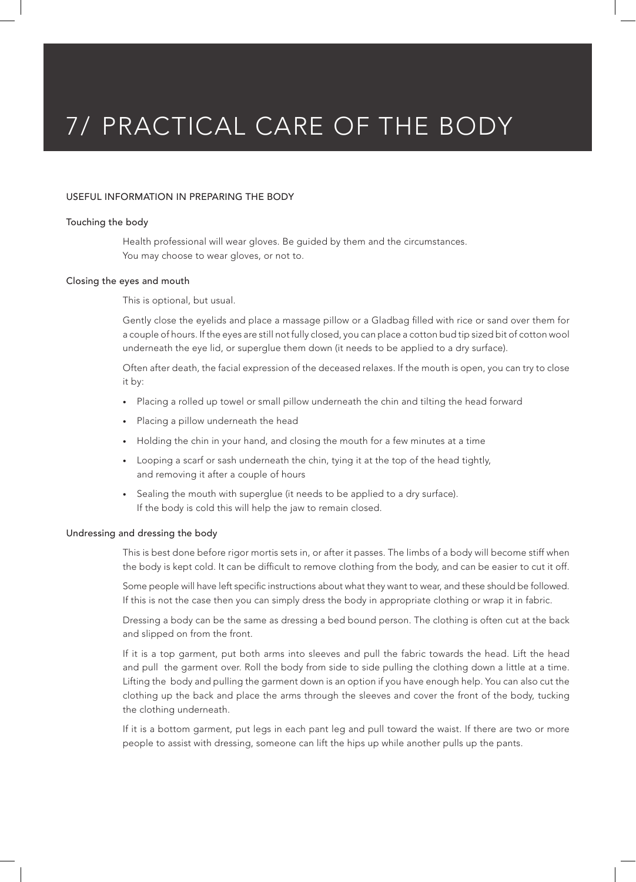### USEFUL INFORMATION IN PREPARING THE BODY

### Touching the body

Health professional will wear gloves. Be guided by them and the circumstances. You may choose to wear gloves, or not to.

#### Closing the eyes and mouth

This is optional, but usual.

Gently close the eyelids and place a massage pillow or a Gladbag filled with rice or sand over them for a couple of hours. If the eyes are still not fully closed, you can place a cotton bud tip sized bit of cotton wool underneath the eye lid, or superglue them down (it needs to be applied to a dry surface).

Often after death, the facial expression of the deceased relaxes. If the mouth is open, you can try to close it by:

- Placing a rolled up towel or small pillow underneath the chin and tilting the head forward
- Placing a pillow underneath the head
- Holding the chin in your hand, and closing the mouth for a few minutes at a time
- Looping a scarf or sash underneath the chin, tying it at the top of the head tightly, and removing it after a couple of hours
- Sealing the mouth with superglue (it needs to be applied to a dry surface). If the body is cold this will help the jaw to remain closed.

#### Undressing and dressing the body

This is best done before rigor mortis sets in, or after it passes. The limbs of a body will become stiff when the body is kept cold. It can be difficult to remove clothing from the body, and can be easier to cut it off.

Some people will have left specific instructions about what they want to wear, and these should be followed. If this is not the case then you can simply dress the body in appropriate clothing or wrap it in fabric.

Dressing a body can be the same as dressing a bed bound person. The clothing is often cut at the back and slipped on from the front.

If it is a top garment, put both arms into sleeves and pull the fabric towards the head. Lift the head and pull the garment over. Roll the body from side to side pulling the clothing down a little at a time. Lifting the body and pulling the garment down is an option if you have enough help. You can also cut the clothing up the back and place the arms through the sleeves and cover the front of the body, tucking the clothing underneath.

If it is a bottom garment, put legs in each pant leg and pull toward the waist. If there are two or more people to assist with dressing, someone can lift the hips up while another pulls up the pants.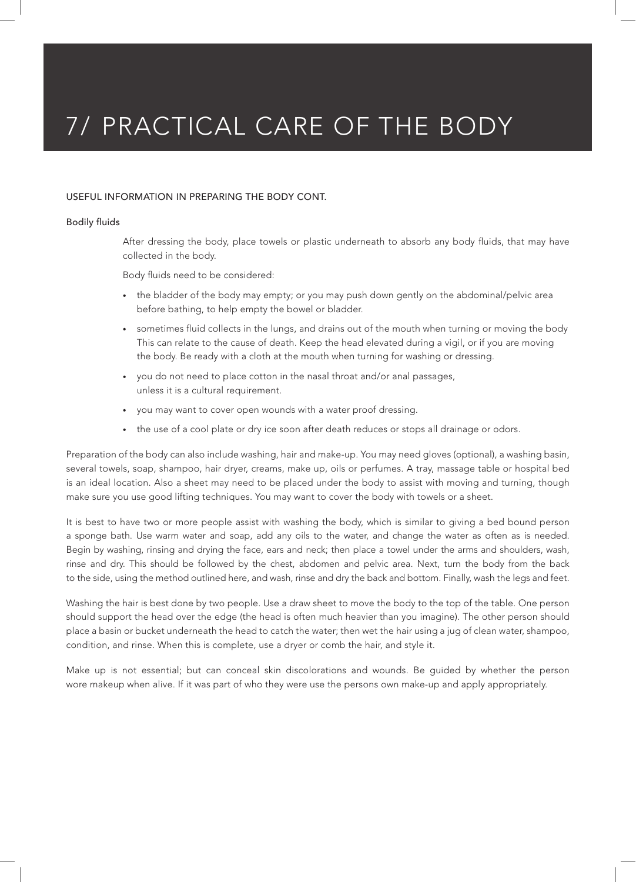## USEFUL INFORMATION IN PREPARING THE BODY CONT.

### Bodily fluids

After dressing the body, place towels or plastic underneath to absorb any body fluids, that may have collected in the body.

Body fluids need to be considered:

- the bladder of the body may empty; or you may push down gently on the abdominal/pelvic area before bathing, to help empty the bowel or bladder.
- sometimes fluid collects in the lungs, and drains out of the mouth when turning or moving the body This can relate to the cause of death. Keep the head elevated during a vigil, or if you are moving the body. Be ready with a cloth at the mouth when turning for washing or dressing.
- you do not need to place cotton in the nasal throat and/or anal passages, unless it is a cultural requirement.
- you may want to cover open wounds with a water proof dressing.
- the use of a cool plate or dry ice soon after death reduces or stops all drainage or odors.

Preparation of the body can also include washing, hair and make-up. You may need gloves (optional), a washing basin, several towels, soap, shampoo, hair dryer, creams, make up, oils or perfumes. A tray, massage table or hospital bed is an ideal location. Also a sheet may need to be placed under the body to assist with moving and turning, though make sure you use good lifting techniques. You may want to cover the body with towels or a sheet.

It is best to have two or more people assist with washing the body, which is similar to giving a bed bound person a sponge bath. Use warm water and soap, add any oils to the water, and change the water as often as is needed. Begin by washing, rinsing and drying the face, ears and neck; then place a towel under the arms and shoulders, wash, rinse and dry. This should be followed by the chest, abdomen and pelvic area. Next, turn the body from the back to the side, using the method outlined here, and wash, rinse and dry the back and bottom. Finally, wash the legs and feet.

Washing the hair is best done by two people. Use a draw sheet to move the body to the top of the table. One person should support the head over the edge (the head is often much heavier than you imagine). The other person should place a basin or bucket underneath the head to catch the water; then wet the hair using a jug of clean water, shampoo, condition, and rinse. When this is complete, use a dryer or comb the hair, and style it.

Make up is not essential; but can conceal skin discolorations and wounds. Be guided by whether the person wore makeup when alive. If it was part of who they were use the persons own make-up and apply appropriately.